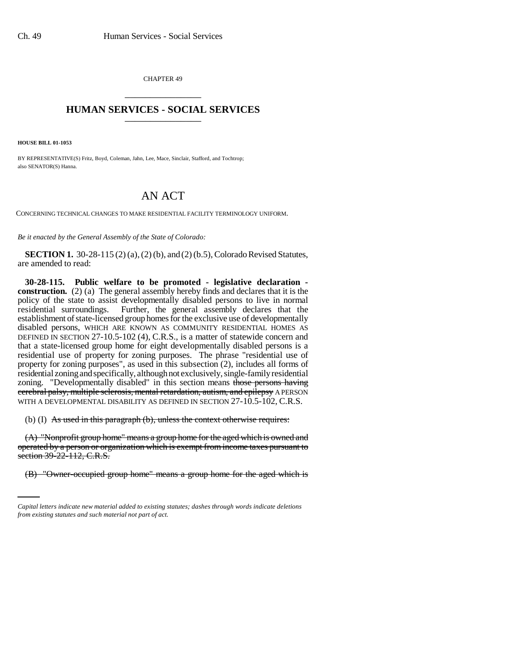CHAPTER 49 \_\_\_\_\_\_\_\_\_\_\_\_\_\_\_

## **HUMAN SERVICES - SOCIAL SERVICES** \_\_\_\_\_\_\_\_\_\_\_\_\_\_\_

**HOUSE BILL 01-1053**

BY REPRESENTATIVE(S) Fritz, Boyd, Coleman, Jahn, Lee, Mace, Sinclair, Stafford, and Tochtrop; also SENATOR(S) Hanna.

## AN ACT

CONCERNING TECHNICAL CHANGES TO MAKE RESIDENTIAL FACILITY TERMINOLOGY UNIFORM.

*Be it enacted by the General Assembly of the State of Colorado:*

**SECTION 1.** 30-28-115 (2) (a), (2) (b), and (2) (b.5), Colorado Revised Statutes, are amended to read:

**30-28-115. Public welfare to be promoted - legislative declaration construction.** (2) (a) The general assembly hereby finds and declares that it is the policy of the state to assist developmentally disabled persons to live in normal residential surroundings. Further, the general assembly declares that the establishment of state-licensed group homes for the exclusive use of developmentally disabled persons, WHICH ARE KNOWN AS COMMUNITY RESIDENTIAL HOMES AS DEFINED IN SECTION 27-10.5-102 (4), C.R.S., is a matter of statewide concern and that a state-licensed group home for eight developmentally disabled persons is a residential use of property for zoning purposes. The phrase "residential use of property for zoning purposes", as used in this subsection (2), includes all forms of residential zoning and specifically, although not exclusively, single-family residential zoning. "Developmentally disabled" in this section means those persons having cerebral palsy, multiple sclerosis, mental retardation, autism, and epilepsy A PERSON WITH A DEVELOPMENTAL DISABILITY AS DEFINED IN SECTION 27-10.5-102, C.R.S.

(b) (I) As used in this paragraph (b), unless the context otherwise requires:

section  $39-22-112$ , C.R.S. (A) "Nonprofit group home" means a group home for the aged which is owned and operated by a person or organization which is exempt from income taxes pursuant to

(B) "Owner-occupied group home" means a group home for the aged which is

*Capital letters indicate new material added to existing statutes; dashes through words indicate deletions from existing statutes and such material not part of act.*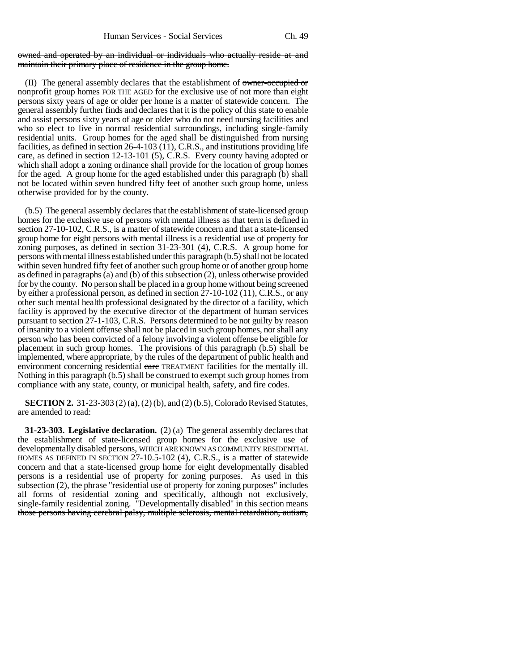## owned and operated by an individual or individuals who actually reside at and maintain their primary place of residence in the group home.

(II) The general assembly declares that the establishment of owner-occupied or nonprofit group homes FOR THE AGED for the exclusive use of not more than eight persons sixty years of age or older per home is a matter of statewide concern. The general assembly further finds and declares that it is the policy of this state to enable and assist persons sixty years of age or older who do not need nursing facilities and who so elect to live in normal residential surroundings, including single-family residential units. Group homes for the aged shall be distinguished from nursing facilities, as defined in section 26-4-103 (11), C.R.S., and institutions providing life care, as defined in section 12-13-101 (5), C.R.S. Every county having adopted or which shall adopt a zoning ordinance shall provide for the location of group homes for the aged. A group home for the aged established under this paragraph (b) shall not be located within seven hundred fifty feet of another such group home, unless otherwise provided for by the county.

(b.5) The general assembly declares that the establishment of state-licensed group homes for the exclusive use of persons with mental illness as that term is defined in section 27-10-102, C.R.S., is a matter of statewide concern and that a state-licensed group home for eight persons with mental illness is a residential use of property for zoning purposes, as defined in section 31-23-301 (4), C.R.S. A group home for persons with mental illness established under this paragraph (b.5) shall not be located within seven hundred fifty feet of another such group home or of another group home as defined in paragraphs (a) and (b) of this subsection (2), unless otherwise provided for by the county. No person shall be placed in a group home without being screened by either a professional person, as defined in section 27-10-102 (11), C.R.S., or any other such mental health professional designated by the director of a facility, which facility is approved by the executive director of the department of human services pursuant to section 27-1-103, C.R.S. Persons determined to be not guilty by reason of insanity to a violent offense shall not be placed in such group homes, nor shall any person who has been convicted of a felony involving a violent offense be eligible for placement in such group homes. The provisions of this paragraph (b.5) shall be implemented, where appropriate, by the rules of the department of public health and environment concerning residential care TREATMENT facilities for the mentally ill. Nothing in this paragraph (b.5) shall be construed to exempt such group homes from compliance with any state, county, or municipal health, safety, and fire codes.

**SECTION 2.** 31-23-303 (2) (a), (2) (b), and (2) (b.5), Colorado Revised Statutes, are amended to read:

**31-23-303. Legislative declaration.** (2) (a) The general assembly declares that the establishment of state-licensed group homes for the exclusive use of developmentally disabled persons, WHICH ARE KNOWN AS COMMUNITY RESIDENTIAL HOMES AS DEFINED IN SECTION 27-10.5-102 (4), C.R.S., is a matter of statewide concern and that a state-licensed group home for eight developmentally disabled persons is a residential use of property for zoning purposes. As used in this subsection (2), the phrase "residential use of property for zoning purposes" includes all forms of residential zoning and specifically, although not exclusively, single-family residential zoning. "Developmentally disabled" in this section means those persons having cerebral palsy, multiple sclerosis, mental retardation, autism,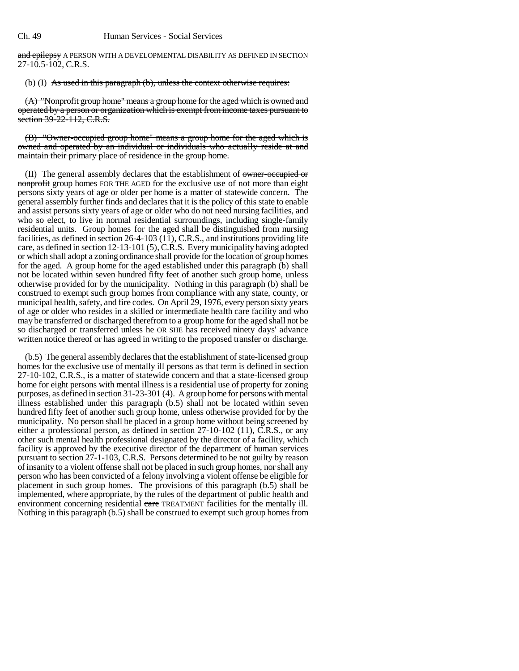and epilepsy A PERSON WITH A DEVELOPMENTAL DISABILITY AS DEFINED IN SECTION 27-10.5-102, C.R.S.

(b) (I) As used in this paragraph (b), unless the context otherwise requires:

(A) "Nonprofit group home" means a group home for the aged which is owned and operated by a person or organization which is exempt from income taxes pursuant to section 39-22-112, C.R.S.

(B) "Owner-occupied group home" means a group home for the aged which is owned and operated by an individual or individuals who actually reside at and maintain their primary place of residence in the group home.

(II) The general assembly declares that the establishment of owner-occupied or nonprofit group homes FOR THE AGED for the exclusive use of not more than eight persons sixty years of age or older per home is a matter of statewide concern. The general assembly further finds and declares that it is the policy of this state to enable and assist persons sixty years of age or older who do not need nursing facilities, and who so elect, to live in normal residential surroundings, including single-family residential units. Group homes for the aged shall be distinguished from nursing facilities, as defined in section 26-4-103 (11), C.R.S., and institutions providing life care, as defined in section 12-13-101 (5), C.R.S. Every municipality having adopted or which shall adopt a zoning ordinance shall provide for the location of group homes for the aged. A group home for the aged established under this paragraph (b) shall not be located within seven hundred fifty feet of another such group home, unless otherwise provided for by the municipality. Nothing in this paragraph (b) shall be construed to exempt such group homes from compliance with any state, county, or municipal health, safety, and fire codes. On April 29, 1976, every person sixty years of age or older who resides in a skilled or intermediate health care facility and who may be transferred or discharged therefrom to a group home for the aged shall not be so discharged or transferred unless he OR SHE has received ninety days' advance written notice thereof or has agreed in writing to the proposed transfer or discharge.

(b.5) The general assembly declares that the establishment of state-licensed group homes for the exclusive use of mentally ill persons as that term is defined in section 27-10-102, C.R.S., is a matter of statewide concern and that a state-licensed group home for eight persons with mental illness is a residential use of property for zoning purposes, as defined in section 31-23-301 (4). A group home for persons with mental illness established under this paragraph (b.5) shall not be located within seven hundred fifty feet of another such group home, unless otherwise provided for by the municipality. No person shall be placed in a group home without being screened by either a professional person, as defined in section 27-10-102 (11), C.R.S., or any other such mental health professional designated by the director of a facility, which facility is approved by the executive director of the department of human services pursuant to section 27-1-103, C.R.S. Persons determined to be not guilty by reason of insanity to a violent offense shall not be placed in such group homes, nor shall any person who has been convicted of a felony involving a violent offense be eligible for placement in such group homes. The provisions of this paragraph (b.5) shall be implemented, where appropriate, by the rules of the department of public health and environment concerning residential care TREATMENT facilities for the mentally ill. Nothing in this paragraph (b.5) shall be construed to exempt such group homes from